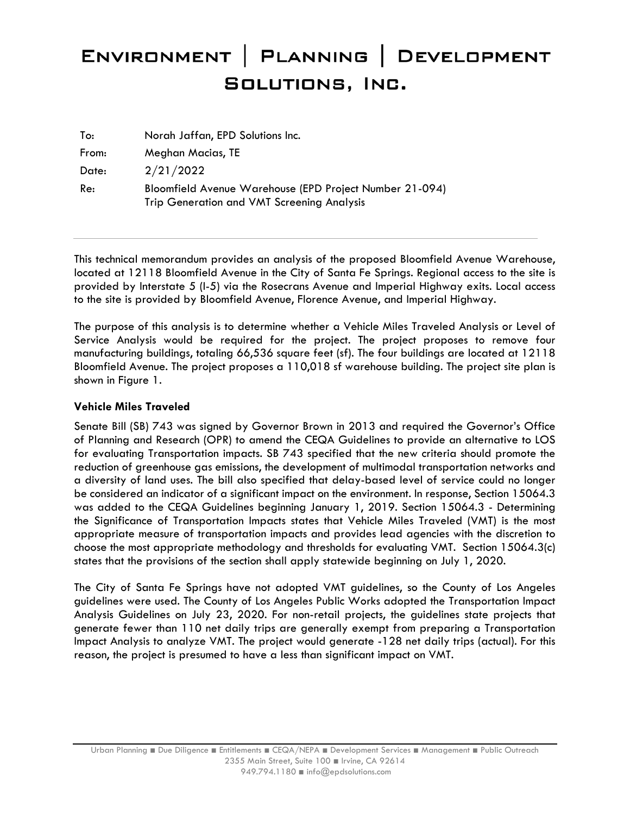## ENVIRONMENT I **PLANNING** I DEVELOPMENT **SOLUTIONS, INC.**

| To:   | Norah Jaffan, EPD Solutions Inc.                                                                      |
|-------|-------------------------------------------------------------------------------------------------------|
| From: | Meghan Macias, TE                                                                                     |
| Date: | 2/21/2022                                                                                             |
| Re:   | Bloomfield Avenue Warehouse (EPD Project Number 21-094)<br>Trip Generation and VMT Screening Analysis |

This technical memorandum provides an analysis of the proposed Bloomfield Avenue Warehouse, located at 12118 Bloomfield Avenue in the City of Santa Fe Springs. Regional access to the site is provided by Interstate 5 (I-5) via the Rosecrans Avenue and Imperial Highway exits. Local access to the site is provided by Bloomfield Avenue, Florence Avenue, and Imperial Highway.

The purpose of this analysis is to determine whether a Vehicle Miles Traveled Analysis or Level of Service Analysis would be required for the project. The project proposes to remove four manufacturing buildings, totaling 66,536 square feet (sf). The four buildings are located at 12118 Bloomfield Avenue. The project proposes a 110,018 sf warehouse building. The project site plan is shown in Figure 1.

## **Vehicle Miles Traveled**

Senate Bill (SB) 743 was signed by Governor Brown in 2013 and required the Governor's Office of Planning and Research (OPR) to amend the CEQA Guidelines to provide an alternative to LOS for evaluating Transportation impacts. SB 743 specified that the new criteria should promote the reduction of greenhouse gas emissions, the development of multimodal transportation networks and a diversity of land uses. The bill also specified that delay-based level of service could no longer be considered an indicator of a significant impact on the environment. In response, Section 15064.3 was added to the CEQA Guidelines beginning January 1, 2019. Section 15064.3 - Determining the Significance of Transportation Impacts states that Vehicle Miles Traveled (VMT) is the most appropriate measure of transportation impacts and provides lead agencies with the discretion to choose the most appropriate methodology and thresholds for evaluating VMT. Section 15064.3(c) states that the provisions of the section shall apply statewide beginning on July 1, 2020.

The City of Santa Fe Springs have not adopted VMT guidelines, so the County of Los Angeles guidelines were used. The County of Los Angeles Public Works adopted the Transportation Impact Analysis Guidelines on July 23, 2020. For non-retail projects, the guidelines state projects that generate fewer than 110 net daily trips are generally exempt from preparing a Transportation Impact Analysis to analyze VMT. The project would generate -128 net daily trips (actual). For this reason, the project is presumed to have a less than significant impact on VMT.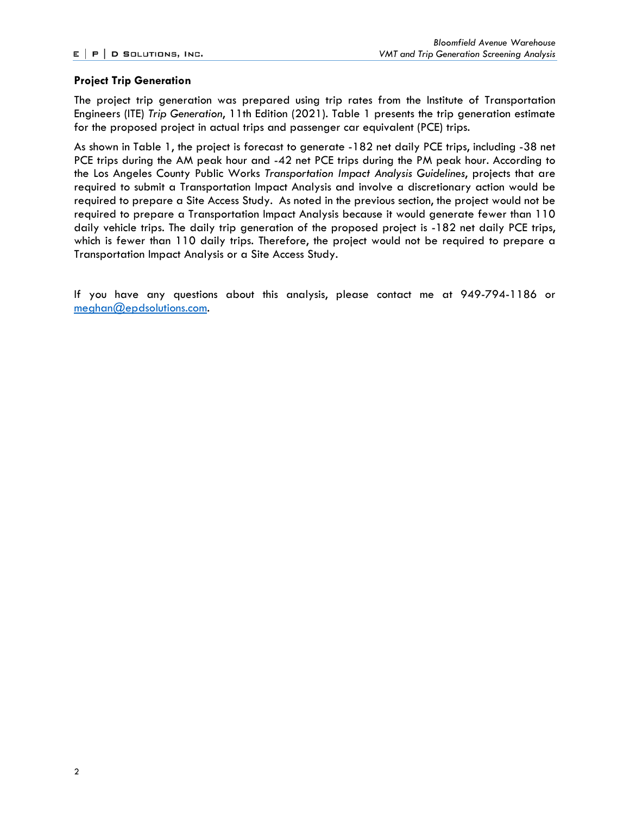## **Project Trip Generation**

The project trip generation was prepared using trip rates from the Institute of Transportation Engineers (ITE) *Trip Generation*, 11th Edition (2021). Table 1 presents the trip generation estimate for the proposed project in actual trips and passenger car equivalent (PCE) trips.

As shown in Table 1, the project is forecast to generate -182 net daily PCE trips, including -38 net PCE trips during the AM peak hour and -42 net PCE trips during the PM peak hour. According to the Los Angeles County Public Works *Transportation Impact Analysis Guidelines*, projects that are required to submit a Transportation Impact Analysis and involve a discretionary action would be required to prepare a Site Access Study. As noted in the previous section, the project would not be required to prepare a Transportation Impact Analysis because it would generate fewer than 110 daily vehicle trips. The daily trip generation of the proposed project is -182 net daily PCE trips, which is fewer than 110 daily trips. Therefore, the project would not be required to prepare a Transportation Impact Analysis or a Site Access Study.

If you have any questions about this analysis, please contact me at 949-794-1186 or meghan@epdsolutions.com.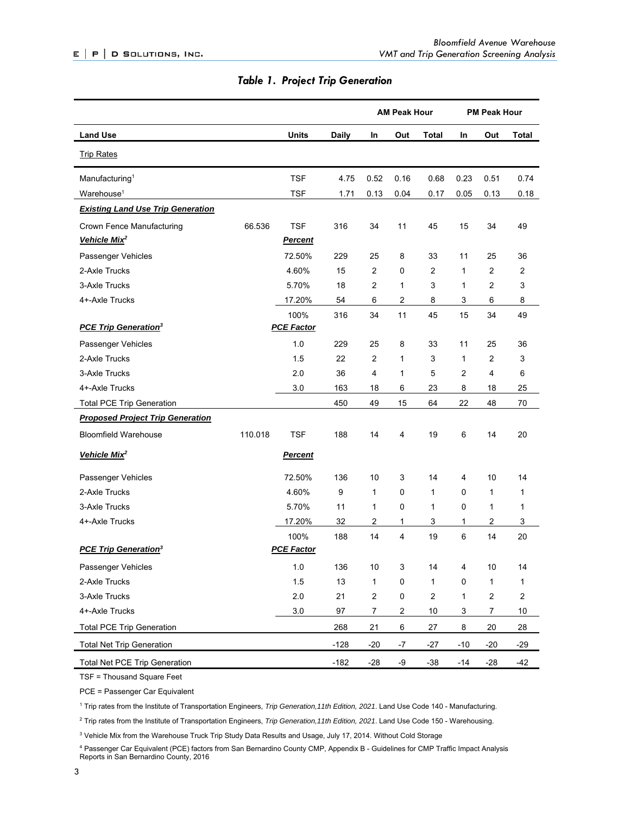|                                                             |         |                   |              |                         | <b>AM Peak Hour</b> | <b>PM Peak Hour</b> |                           |                |                  |  |
|-------------------------------------------------------------|---------|-------------------|--------------|-------------------------|---------------------|---------------------|---------------------------|----------------|------------------|--|
| <b>Land Use</b>                                             |         | <b>Units</b>      | <b>Daily</b> | In                      | Out                 | <b>Total</b>        | In                        | Out            | Total            |  |
| <b>Trip Rates</b>                                           |         |                   |              |                         |                     |                     |                           |                |                  |  |
| Manufacturing <sup>1</sup>                                  |         | <b>TSF</b>        | 4.75         | 0.52                    | 0.16                | 0.68                | 0.23                      | 0.51           | 0.74             |  |
| Warehouse <sup>1</sup>                                      |         | <b>TSF</b>        | 1.71         | 0.13                    | 0.04                | 0.17                | 0.05                      | 0.13           | 0.18             |  |
| <b>Existing Land Use Trip Generation</b>                    |         |                   |              |                         |                     |                     |                           |                |                  |  |
| Crown Fence Manufacturing                                   | 66.536  | <b>TSF</b>        | 316          | 34                      | 11                  | 45                  | 15                        | 34             | 49               |  |
| Vehicle Mix <sup>2</sup>                                    |         | <b>Percent</b>    |              |                         |                     |                     |                           |                |                  |  |
| Passenger Vehicles                                          |         | 72.50%            | 229          | 25                      | 8                   | 33                  | 11                        | 25             | 36               |  |
| 2-Axle Trucks                                               |         | 4.60%             | 15           | $\overline{2}$          | 0                   | 2                   | $\mathbf{1}$              | $\overline{2}$ | 2                |  |
| 3-Axle Trucks                                               |         | 5.70%             | 18           | 2                       | 1                   | 3                   | 1                         | 2              | 3                |  |
| 4+-Axle Trucks                                              |         | 17.20%            | 54           | 6                       | $\boldsymbol{2}$    | 8                   | 3                         | 6              | 8                |  |
|                                                             |         | 100%              | 316          | 34                      | 11                  | 45                  | 15                        | 34             | 49               |  |
| <b>PCE Trip Generation<sup>3</sup></b>                      |         | <b>PCE Factor</b> |              |                         |                     |                     |                           |                |                  |  |
| Passenger Vehicles                                          |         | 1.0               | 229          | 25                      | 8                   | 33                  | 11                        | 25             | 36               |  |
| 2-Axle Trucks                                               |         | 1.5               | 22           | 2                       | $\mathbf{1}$        | 3                   | 1                         | 2              | 3                |  |
| 3-Axle Trucks                                               |         | 2.0               | 36           | 4                       | 1                   | 5                   | 2                         | 4              | 6                |  |
| 4+-Axle Trucks                                              |         | 3.0               | 163          | 18                      | $\,6$               | 23                  | 8                         | 18             | 25               |  |
| <b>Total PCE Trip Generation</b>                            |         |                   | 450          | 49                      | 15                  | 64                  | 22                        | 48             | 70               |  |
| <b>Proposed Project Trip Generation</b>                     |         |                   |              |                         |                     |                     |                           |                |                  |  |
| <b>Bloomfield Warehouse</b>                                 | 110.018 | <b>TSF</b>        | 188          | 14                      | 4                   | 19                  | 6                         | 14             | 20               |  |
| Vehicle Mix <sup>2</sup>                                    |         | <b>Percent</b>    |              |                         |                     |                     |                           |                |                  |  |
| Passenger Vehicles                                          |         | 72.50%            | 136          | 10                      | 3                   | 14                  | 4                         | 10             | 14               |  |
| 2-Axle Trucks                                               |         | 4.60%             | 9            | 1                       | 0                   | $\mathbf{1}$        | 0                         | $\mathbf{1}$   | 1                |  |
| 3-Axle Trucks                                               |         | 5.70%             | 11           | 1                       | 0                   | 1                   | 0                         | 1              | 1                |  |
| 4+-Axle Trucks                                              |         | 17.20%            | 32           | $\overline{\mathbf{c}}$ | $\mathbf{1}$        | 3                   | 1                         | $\overline{c}$ | 3                |  |
|                                                             |         | 100%              | 188          | 14                      | $\overline{4}$      | 19                  | $\,6\,$                   | 14             | 20               |  |
| <b>PCE Trip Generation<sup>3</sup></b><br><b>PCE Factor</b> |         |                   |              |                         |                     |                     |                           |                |                  |  |
| Passenger Vehicles                                          |         | $1.0$             | 136          | 10                      | 3                   | 14                  | 4                         | $10$           | 14               |  |
| 2-Axle Trucks                                               |         | 1.5               | 13           | 1                       | 0                   | 1                   | 0                         | 1              | 1                |  |
| 3-Axle Trucks                                               |         | 2.0               | 21           | $\boldsymbol{2}$        | $\pmb{0}$           | $\sqrt{2}$          | $\mathbf{1}$              | 2              | $\boldsymbol{2}$ |  |
| 4+-Axle Trucks                                              |         | 3.0               | 97           | 7                       | $\sqrt{2}$          | $10$                | $\ensuremath{\mathsf{3}}$ | 7              | $10\,$           |  |
| <b>Total PCE Trip Generation</b>                            |         |                   | 268          | 21                      | $\,6\,$             | 27                  | 8                         | 20             | 28               |  |
| <b>Total Net Trip Generation</b>                            |         |                   | $-128$       | $-20$                   | -7                  | $-27$               | $-10$                     | $-20$          | $-29$            |  |
| <b>Total Net PCE Trip Generation</b>                        |         |                   | $-182$       | $-28$                   | -9                  | $-38$               | $-14$                     | $-28$          | $-42$            |  |

## *Table 1. Project Trip Generation*

TSF = Thousand Square Feet<br>PCE = Passenger Car Equivalent<br><sup>1</sup> Trip rates from the Institute of Transportation Engineers, *Trip Generation,11th Edition, 2021*. Land Use Code 140 - Manufacturing.

2 Trip rates from the Institute of Transportation Engineers, *Trip Generation,11th Edition, 2021*. Land Use Code 150 - Warehousing.

3 Vehicle Mix from the Warehouse Truck Trip Study Data Results and Usage, July 17, 2014. Without Cold Storage

4 Passenger Car Equivalent (PCE) factors from San Bernardino County CMP, Appendix B - Guidelines for CMP Traffic Impact Analysis Reports in San Bernardino County, 2016